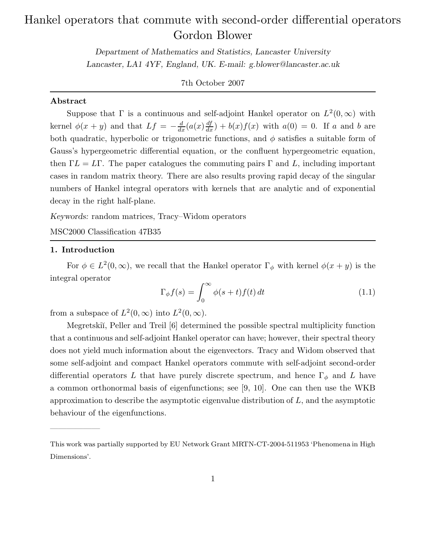# Hankel operators that commute with second-order differential operators Gordon Blower

Department of Mathematics and Statistics, Lancaster University Lancaster, LA1 4YF, England, UK. E-mail: g.blower@lancaster.ac.uk

# 7th October 2007

# Abstract

Suppose that  $\Gamma$  is a continuous and self-adjoint Hankel operator on  $L^2(0,\infty)$  with kernel  $\phi(x+y)$  and that  $Lf = -\frac{d}{dx}(a(x)\frac{df}{dx}) + b(x)f(x)$  with  $a(0) = 0$ . If a and b are both quadratic, hyperbolic or trigonometric functions, and  $\phi$  satisfies a suitable form of Gauss's hypergeometric differential equation, or the confluent hypergeometric equation, then  $\Gamma L = L\Gamma$ . The paper catalogues the commuting pairs  $\Gamma$  and  $L$ , including important cases in random matrix theory. There are also results proving rapid decay of the singular numbers of Hankel integral operators with kernels that are analytic and of exponential decay in the right half-plane.

Keywords: random matrices, Tracy–Widom operators

MSC2000 Classification 47B35

#### 1. Introduction

——————

For  $\phi \in L^2(0,\infty)$ , we recall that the Hankel operator  $\Gamma_{\phi}$  with kernel  $\phi(x+y)$  is the integral operator

$$
\Gamma_{\phi} f(s) = \int_0^{\infty} \phi(s+t) f(t) dt \qquad (1.1)
$$

from a subspace of  $L^2(0, \infty)$  into  $L^2(0, \infty)$ .

Megretski˘ı, Peller and Treil [6] determined the possible spectral multiplicity function that a continuous and self-adjoint Hankel operator can have; however, their spectral theory does not yield much information about the eigenvectors. Tracy and Widom observed that some self-adjoint and compact Hankel operators commute with self-adjoint second-order differential operators L that have purely discrete spectrum, and hence  $\Gamma_{\phi}$  and L have a common orthonormal basis of eigenfunctions; see [9, 10]. One can then use the WKB approximation to describe the asymptotic eigenvalue distribution of  $L$ , and the asymptotic behaviour of the eigenfunctions.

This work was partially supported by EU Network Grant MRTN-CT-2004-511953 'Phenomena in High Dimensions'.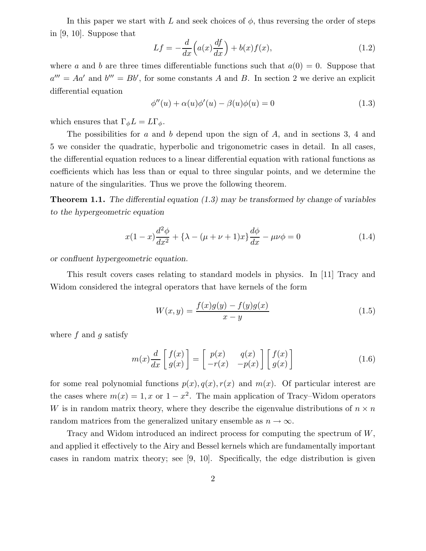In this paper we start with L and seek choices of  $\phi$ , thus reversing the order of steps in [9, 10]. Suppose that

$$
Lf = -\frac{d}{dx}\left(a(x)\frac{df}{dx}\right) + b(x)f(x),\tag{1.2}
$$

where a and b are three times differentiable functions such that  $a(0) = 0$ . Suppose that  $a''' = Aa'$  and  $b''' = Bb'$ , for some constants A and B. In section 2 we derive an explicit differential equation

$$
\phi''(u) + \alpha(u)\phi'(u) - \beta(u)\phi(u) = 0 \qquad (1.3)
$$

which ensures that  $\Gamma_{\phi}L = L\Gamma_{\phi}$ .

The possibilities for a and b depend upon the sign of  $A$ , and in sections 3, 4 and 5 we consider the quadratic, hyperbolic and trigonometric cases in detail. In all cases, the differential equation reduces to a linear differential equation with rational functions as coefficients which has less than or equal to three singular points, and we determine the nature of the singularities. Thus we prove the following theorem.

**Theorem 1.1.** The differential equation  $(1.3)$  may be transformed by change of variables to the hypergeometric equation

$$
x(1-x)\frac{d^2\phi}{dx^2} + \{\lambda - (\mu + \nu + 1)x\}\frac{d\phi}{dx} - \mu\nu\phi = 0
$$
 (1.4)

or confluent hypergeometric equation.

This result covers cases relating to standard models in physics. In [11] Tracy and Widom considered the integral operators that have kernels of the form

$$
W(x,y) = \frac{f(x)g(y) - f(y)g(x)}{x - y}
$$
\n(1.5)

where  $f$  and  $q$  satisfy

$$
m(x)\frac{d}{dx}\begin{bmatrix} f(x) \\ g(x) \end{bmatrix} = \begin{bmatrix} p(x) & q(x) \\ -r(x) & -p(x) \end{bmatrix} \begin{bmatrix} f(x) \\ g(x) \end{bmatrix}
$$
(1.6)

for some real polynomial functions  $p(x)$ ,  $q(x)$ ,  $r(x)$  and  $m(x)$ . Of particular interest are the cases where  $m(x) = 1, x$  or  $1 - x^2$ . The main application of Tracy–Widom operators W is in random matrix theory, where they describe the eigenvalue distributions of  $n \times n$ random matrices from the generalized unitary ensemble as  $n \to \infty$ .

Tracy and Widom introduced an indirect process for computing the spectrum of W, and applied it effectively to the Airy and Bessel kernels which are fundamentally important cases in random matrix theory; see [9, 10]. Specifically, the edge distribution is given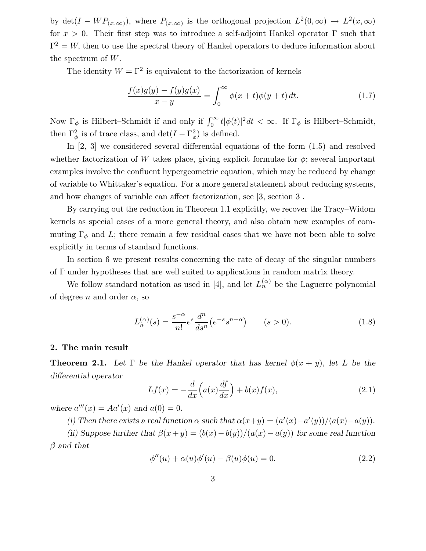by  $\det(I - WP_{(x,\infty)})$ , where  $P_{(x,\infty)}$  is the orthogonal projection  $L^2(0,\infty) \to L^2(x,\infty)$ for  $x > 0$ . Their first step was to introduce a self-adjoint Hankel operator  $\Gamma$  such that  $\Gamma^2 = W$ , then to use the spectral theory of Hankel operators to deduce information about the spectrum of W.

The identity  $W = \Gamma^2$  is equivalent to the factorization of kernels

$$
\frac{f(x)g(y) - f(y)g(x)}{x - y} = \int_0^\infty \phi(x + t)\phi(y + t) dt.
$$
 (1.7)

Now  $\Gamma_{\phi}$  is Hilbert–Schmidt if and only if  $\int_{0}^{\infty} t |\phi(t)|^{2} dt < \infty$ . If  $\Gamma_{\phi}$  is Hilbert–Schmidt, then  $\Gamma^2_{\phi}$  is of trace class, and  $\det(I - \Gamma^2_{\phi})$  is defined.

In [2, 3] we considered several differential equations of the form (1.5) and resolved whether factorization of W takes place, giving explicit formulae for  $\phi$ ; several important examples involve the confluent hypergeometric equation, which may be reduced by change of variable to Whittaker's equation. For a more general statement about reducing systems, and how changes of variable can affect factorization, see [3, section 3].

By carrying out the reduction in Theorem 1.1 explicitly, we recover the Tracy–Widom kernels as special cases of a more general theory, and also obtain new examples of commuting  $\Gamma_{\phi}$  and L; there remain a few residual cases that we have not been able to solve explicitly in terms of standard functions.

In section 6 we present results concerning the rate of decay of the singular numbers of Γ under hypotheses that are well suited to applications in random matrix theory.

We follow standard notation as used in [4], and let  $L_n^{(\alpha)}$  be the Laguerre polynomial of degree n and order  $\alpha$ , so

$$
L_n^{(\alpha)}(s) = \frac{s^{-\alpha}}{n!} e^s \frac{d^n}{ds^n} (e^{-s} s^{n+\alpha}) \qquad (s > 0).
$$
 (1.8)

### 2. The main result

**Theorem 2.1.** Let  $\Gamma$  be the Hankel operator that has kernel  $\phi(x+y)$ , let L be the differential operator

$$
Lf(x) = -\frac{d}{dx}\left(a(x)\frac{df}{dx}\right) + b(x)f(x),\tag{2.1}
$$

where  $a'''(x) = Aa'(x)$  and  $a(0) = 0$ .

(i) Then there exists a real function  $\alpha$  such that  $\alpha(x+y) = (a'(x) - a'(y))/(a(x) - a(y)).$ 

(ii) Suppose further that  $\beta(x+y) = (b(x)-b(y))/(a(x)-a(y))$  for some real function  $\beta$  and that

$$
\phi''(u) + \alpha(u)\phi'(u) - \beta(u)\phi(u) = 0.
$$
 (2.2)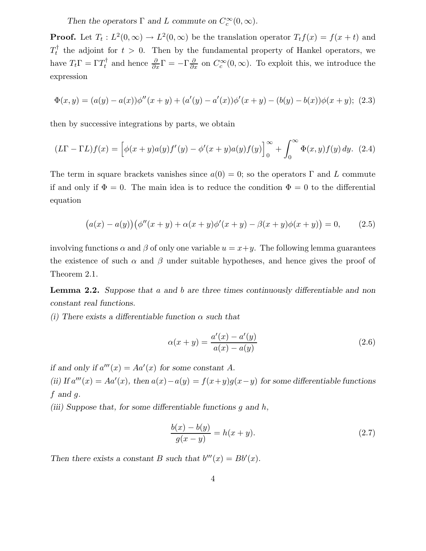Then the operators  $\Gamma$  and L commute on  $C_c^{\infty}(0,\infty)$ .

**Proof.** Let  $T_t: L^2(0, \infty) \to L^2(0, \infty)$  be the translation operator  $T_t f(x) = f(x + t)$  and  $T_t^{\dagger}$  the adjoint for  $t > 0$ . Then by the fundamental property of Hankel operators, we have  $T_t \Gamma = \Gamma T_t^{\dagger}$  and hence  $\frac{\partial}{\partial x} \Gamma = -\Gamma \frac{\partial}{\partial x}$  $\frac{\partial}{\partial x}$  on  $C_c^{\infty}(0,\infty)$ . To exploit this, we introduce the expression

$$
\Phi(x,y) = (a(y) - a(x))\phi''(x+y) + (a'(y) - a'(x))\phi'(x+y) - (b(y) - b(x))\phi(x+y); \tag{2.3}
$$

then by successive integrations by parts, we obtain

$$
(L\Gamma - \Gamma L)f(x) = \left[\phi(x+y)a(y)f'(y) - \phi'(x+y)a(y)f(y)\right]_0^\infty + \int_0^\infty \Phi(x,y)f(y) \, dy. \tag{2.4}
$$

The term in square brackets vanishes since  $a(0) = 0$ ; so the operators  $\Gamma$  and L commute if and only if  $\Phi = 0$ . The main idea is to reduce the condition  $\Phi = 0$  to the differential equation

$$
(a(x) - a(y)) (\phi''(x + y) + \alpha(x + y)\phi'(x + y) - \beta(x + y)\phi(x + y)) = 0, \qquad (2.5)
$$

involving functions  $\alpha$  and  $\beta$  of only one variable  $u = x + y$ . The following lemma guarantees the existence of such  $\alpha$  and  $\beta$  under suitable hypotheses, and hence gives the proof of Theorem 2.1.

Lemma 2.2. Suppose that a and b are three times continuously differentiable and non constant real functions.

(i) There exists a differentiable function  $\alpha$  such that

$$
\alpha(x + y) = \frac{a'(x) - a'(y)}{a(x) - a(y)}
$$
\n(2.6)

if and only if  $a'''(x) = Aa'(x)$  for some constant A. (ii) If  $a'''(x) = Aa'(x)$ , then  $a(x) - a(y) = f(x+y)g(x-y)$  for some differentiable functions  $f$  and  $g$ .

(iii) Suppose that, for some differentiable functions  $g$  and  $h$ ,

$$
\frac{b(x) - b(y)}{g(x - y)} = h(x + y).
$$
\n(2.7)

Then there exists a constant B such that  $b'''(x) = Bb'(x)$ .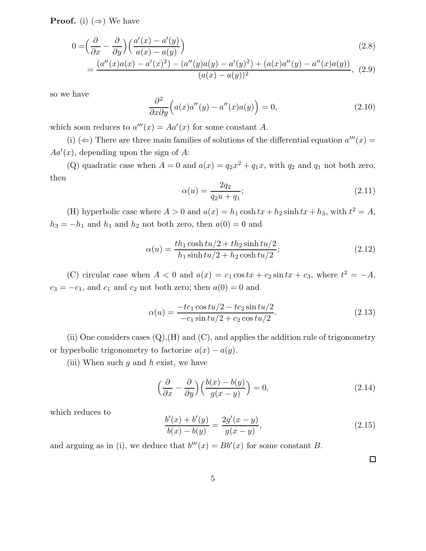**Proof.** (i)  $(\Rightarrow)$  We have

$$
0 = \left(\frac{\partial}{\partial x} - \frac{\partial}{\partial y}\right) \left(\frac{a'(x) - a'(y)}{a(x) - a(y)}\right)
$$
\n(2.8)

$$
= \frac{(a''(x)a(x) - a'(x)^2) - (a''(y)a(y) - a'(y)^2) + (a(x)a''(y) - a''(x)a(y))}{(a(x) - a(y))^2},
$$
 (2.9)

so we have

$$
\frac{\partial^2}{\partial x \partial y} \Big( a(x) a''(y) - a''(x) a(y) \Big) = 0, \tag{2.10}
$$

which soon reduces to  $a'''(x) = Aa'(x)$  for some constant A.

(i) ( $\Leftarrow$ ) There are three main families of solutions of the differential equation  $a'''(x) =$  $Aa'(x)$ , depending upon the sign of A:

(Q) quadratic case when  $A = 0$  and  $a(x) = q_2x^2 + q_1x$ , with  $q_2$  and  $q_1$  not both zero, then

$$
\alpha(u) = \frac{2q_2}{q_2 u + q_1};\tag{2.11}
$$

(H) hyperbolic case where  $A > 0$  and  $a(x) = h_1 \cosh tx + h_2 \sinh tx + h_3$ , with  $t^2 = A$ ,  $h_3 = -h_1$  and  $h_1$  and  $h_2$  not both zero, then  $a(0) = 0$  and

$$
\alpha(u) = \frac{th_1 \cosh tu/2 + th_2 \sinh tu/2}{h_1 \sinh tu/2 + h_2 \cosh tu/2};
$$
\n(2.12)

(C) circular case when  $A < 0$  and  $a(x) = c_1 \cos tx + c_2 \sin tx + c_3$ , where  $t^2 = -A$ ,  $c_3 = -c_1$ , and  $c_1$  and  $c_2$  not both zero; then  $a(0) = 0$  and

$$
\alpha(u) = \frac{-tc_1 \cos tu/2 - tc_2 \sin tu/2}{-c_1 \sin tu/2 + c_2 \cos tu/2}.
$$
\n(2.13)

(ii) One considers cases  $(Q)$ ,  $(H)$  and  $(C)$ , and applies the addition rule of trigonometry or hyperbolic trigonometry to factorize  $a(x) - a(y)$ .

(iii) When such  $g$  and  $h$  exist, we have

$$
\left(\frac{\partial}{\partial x} - \frac{\partial}{\partial y}\right) \left(\frac{b(x) - b(y)}{g(x - y)}\right) = 0,\tag{2.14}
$$

which reduces to

$$
\frac{b'(x) + b'(y)}{b(x) - b(y)} = \frac{2g'(x - y)}{g(x - y)},
$$
\n(2.15)

and arguing as in (i), we deduce that  $b'''(x) = Bb'(x)$  for some constant B.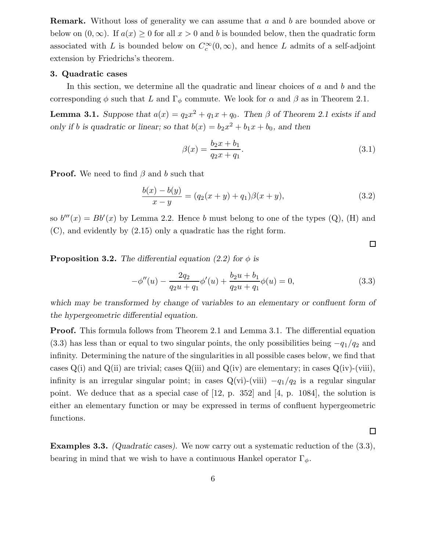Remark. Without loss of generality we can assume that a and b are bounded above or below on  $(0, \infty)$ . If  $a(x) \geq 0$  for all  $x > 0$  and b is bounded below, then the quadratic form associated with L is bounded below on  $C_c^{\infty}(0,\infty)$ , and hence L admits of a self-adjoint extension by Friedrichs's theorem.

# 3. Quadratic cases

In this section, we determine all the quadratic and linear choices of  $a$  and  $b$  and the corresponding  $\phi$  such that L and  $\Gamma_{\phi}$  commute. We look for  $\alpha$  and  $\beta$  as in Theorem 2.1.

**Lemma 3.1.** Suppose that  $a(x) = q_2x^2 + q_1x + q_0$ . Then  $\beta$  of Theorem 2.1 exists if and only if b is quadratic or linear; so that  $b(x) = b_2x^2 + b_1x + b_0$ , and then

$$
\beta(x) = \frac{b_2 x + b_1}{q_2 x + q_1}.\tag{3.1}
$$

 $\Box$ 

 $\Box$ 

**Proof.** We need to find  $\beta$  and b such that

$$
\frac{b(x) - b(y)}{x - y} = (q_2(x + y) + q_1)\beta(x + y),
$$
\n(3.2)

so  $b'''(x) = Bb'(x)$  by Lemma 2.2. Hence b must belong to one of the types  $(Q)$ ,  $(H)$  and (C), and evidently by (2.15) only a quadratic has the right form.

**Proposition 3.2.** The differential equation (2.2) for  $\phi$  is

$$
-\phi''(u) - \frac{2q_2}{q_2u + q_1}\phi'(u) + \frac{b_2u + b_1}{q_2u + q_1}\phi(u) = 0,
$$
\n(3.3)

which may be transformed by change of variables to an elementary or confluent form of the hypergeometric differential equation.

Proof. This formula follows from Theorem 2.1 and Lemma 3.1. The differential equation (3.3) has less than or equal to two singular points, the only possibilities being  $-q_1/q_2$  and infinity. Determining the nature of the singularities in all possible cases below, we find that cases  $Q(i)$  and  $Q(ii)$  are trivial; cases  $Q(iii)$  and  $Q(iv)$  are elementary; in cases  $Q(iv)$ -(viii), infinity is an irregular singular point; in cases  $Q(vi)$ -(viii)  $-q_1/q_2$  is a regular singular point. We deduce that as a special case of [12, p. 352] and [4, p. 1084], the solution is either an elementary function or may be expressed in terms of confluent hypergeometric functions.

Examples 3.3. (Quadratic cases). We now carry out a systematic reduction of the (3.3), bearing in mind that we wish to have a continuous Hankel operator  $\Gamma_{\phi}$ .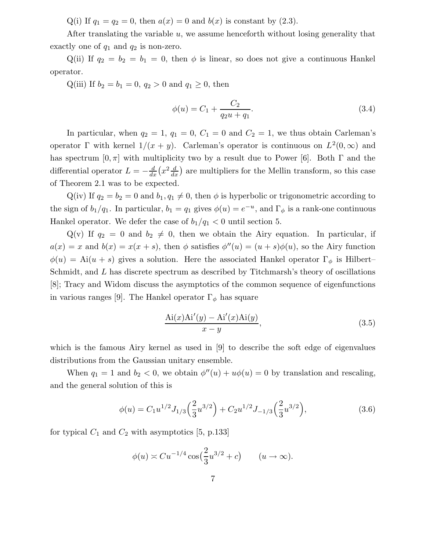Q(i) If  $q_1 = q_2 = 0$ , then  $a(x) = 0$  and  $b(x)$  is constant by (2.3).

After translating the variable  $u$ , we assume henceforth without losing generality that exactly one of  $q_1$  and  $q_2$  is non-zero.

Q(ii) If  $q_2 = b_2 = b_1 = 0$ , then  $\phi$  is linear, so does not give a continuous Hankel operator.

Q(iii) If  $b_2 = b_1 = 0, q_2 > 0$  and  $q_1 \ge 0$ , then

$$
\phi(u) = C_1 + \frac{C_2}{q_2 u + q_1}.\tag{3.4}
$$

In particular, when  $q_2 = 1$ ,  $q_1 = 0$ ,  $C_1 = 0$  and  $C_2 = 1$ , we thus obtain Carleman's operator  $\Gamma$  with kernel  $1/(x + y)$ . Carleman's operator is continuous on  $L^2(0, \infty)$  and has spectrum  $[0, \pi]$  with multiplicity two by a result due to Power [6]. Both  $\Gamma$  and the differential operator  $L = -\frac{d}{dx}$  $\frac{d}{dx}\left(x^2\frac{d}{dx}\right)$  $\frac{d}{dx}$ ) are multipliers for the Mellin transform, so this case of Theorem 2.1 was to be expected.

 $Q(iv)$  If  $q_2 = b_2 = 0$  and  $b_1, q_1 \neq 0$ , then  $\phi$  is hyperbolic or trigonometric according to the sign of  $b_1/q_1$ . In particular,  $b_1 = q_1$  gives  $\phi(u) = e^{-u}$ , and  $\Gamma_{\phi}$  is a rank-one continuous Hankel operator. We defer the case of  $b_1/q_1 < 0$  until section 5.

 $Q(v)$  If  $q_2 = 0$  and  $b_2 \neq 0$ , then we obtain the Airy equation. In particular, if  $a(x) = x$  and  $b(x) = x(x + s)$ , then  $\phi$  satisfies  $\phi''(u) = (u + s)\phi(u)$ , so the Airy function  $\phi(u) = Ai(u+s)$  gives a solution. Here the associated Hankel operator  $\Gamma_{\phi}$  is Hilbert– Schmidt, and L has discrete spectrum as described by Titchmarsh's theory of oscillations [8]; Tracy and Widom discuss the asymptotics of the common sequence of eigenfunctions in various ranges [9]. The Hankel operator  $\Gamma_{\phi}$  has square

$$
\frac{\text{Ai}(x)\text{Ai}'(y) - \text{Ai}'(x)\text{Ai}(y)}{x - y},
$$
\n(3.5)

which is the famous Airy kernel as used in [9] to describe the soft edge of eigenvalues distributions from the Gaussian unitary ensemble.

When  $q_1 = 1$  and  $b_2 < 0$ , we obtain  $\phi''(u) + u\phi(u) = 0$  by translation and rescaling, and the general solution of this is

$$
\phi(u) = C_1 u^{1/2} J_{1/3} \left(\frac{2}{3} u^{3/2}\right) + C_2 u^{1/2} J_{-1/3} \left(\frac{2}{3} u^{3/2}\right),\tag{3.6}
$$

for typical  $C_1$  and  $C_2$  with asymptotics [5, p.133]

$$
\phi(u) \asymp C u^{-1/4} \cos\left(\frac{2}{3}u^{3/2} + c\right) \qquad (u \to \infty).
$$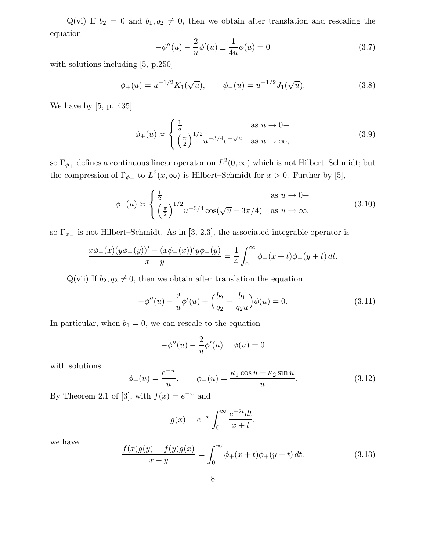Q(vi) If  $b_2 = 0$  and  $b_1, q_2 \neq 0$ , then we obtain after translation and rescaling the equation

$$
-\phi''(u) - \frac{2}{u}\phi'(u) \pm \frac{1}{4u}\phi(u) = 0
$$
\n(3.7)

with solutions including [5, p.250]

$$
\phi_+(u) = u^{-1/2} K_1(\sqrt{u}), \qquad \phi_-(u) = u^{-1/2} J_1(\sqrt{u}). \tag{3.8}
$$

We have by [5, p. 435]

$$
\phi_{+}(u) \asymp \begin{cases} \frac{1}{u} & \text{as } u \to 0+\\ \left(\frac{\pi}{2}\right)^{1/2} u^{-3/4} e^{-\sqrt{u}} & \text{as } u \to \infty, \end{cases} \tag{3.9}
$$

so  $\Gamma_{\phi_+}$  defines a continuous linear operator on  $L^2(0,\infty)$  which is not Hilbert–Schmidt; but the compression of  $\Gamma_{\phi_+}$  to  $L^2(x,\infty)$  is Hilbert–Schmidt for  $x > 0$ . Further by [5],

$$
\phi_{-}(u) \asymp \begin{cases} \frac{1}{2} & \text{as } u \to 0+\\ \left(\frac{\pi}{2}\right)^{1/2} u^{-3/4} \cos(\sqrt{u}-3\pi/4) & \text{as } u \to \infty, \end{cases}
$$
(3.10)

so  $\Gamma_{\phi_-}$  is not Hilbert–Schmidt. As in [3, 2.3], the associated integrable operator is

$$
\frac{x\phi_{-}(x)(y\phi_{-}(y))' - (x\phi_{-}(x))'y\phi_{-}(y)}{x - y} = \frac{1}{4} \int_0^{\infty} \phi_{-}(x+t)\phi_{-}(y+t) dt.
$$

Q(vii) If  $b_2, q_2 \neq 0$ , then we obtain after translation the equation

$$
-\phi''(u) - \frac{2}{u}\phi'(u) + \left(\frac{b_2}{q_2} + \frac{b_1}{q_2 u}\right)\phi(u) = 0.
$$
 (3.11)

In particular, when  $b_1 = 0$ , we can rescale to the equation

$$
-\phi''(u) - \frac{2}{u}\phi'(u) \pm \phi(u) = 0
$$

with solutions

$$
\phi_{+}(u) = \frac{e^{-u}}{u}, \qquad \phi_{-}(u) = \frac{\kappa_1 \cos u + \kappa_2 \sin u}{u}.
$$
 (3.12)

By Theorem 2.1 of [3], with  $f(x) = e^{-x}$  and

$$
g(x) = e^{-x} \int_0^\infty \frac{e^{-2t} dt}{x + t},
$$

we have

$$
\frac{f(x)g(y) - f(y)g(x)}{x - y} = \int_0^\infty \phi_+(x + t)\phi_+(y + t) dt.
$$
 (3.13)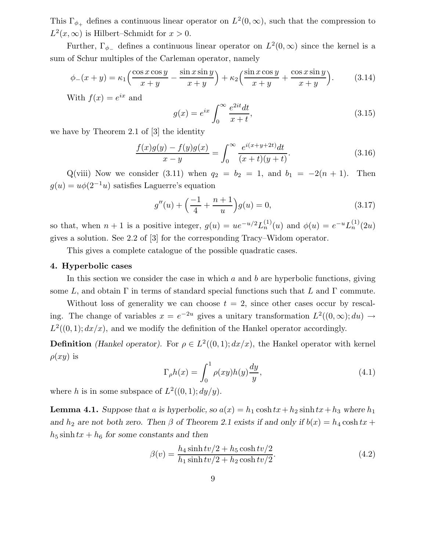This  $\Gamma_{\phi_+}$  defines a continuous linear operator on  $L^2(0,\infty)$ , such that the compression to  $L^2(x,\infty)$  is Hilbert–Schmidt for  $x > 0$ .

Further,  $\Gamma_{\phi_{-}}$  defines a continuous linear operator on  $L^2(0,\infty)$  since the kernel is a sum of Schur multiples of the Carleman operator, namely

$$
\phi_{-}(x+y) = \kappa_1 \left( \frac{\cos x \cos y}{x+y} - \frac{\sin x \sin y}{x+y} \right) + \kappa_2 \left( \frac{\sin x \cos y}{x+y} + \frac{\cos x \sin y}{x+y} \right). \tag{3.14}
$$

With  $f(x) = e^{ix}$  and

$$
g(x) = e^{ix} \int_0^\infty \frac{e^{2it} dt}{x+t},\tag{3.15}
$$

we have by Theorem 2.1 of [3] the identity

$$
\frac{f(x)g(y) - f(y)g(x)}{x - y} = \int_0^\infty \frac{e^{i(x + y + 2t)}dt}{(x + t)(y + t)}.
$$
\n(3.16)

Q(viii) Now we consider (3.11) when  $q_2 = b_2 = 1$ , and  $b_1 = -2(n + 1)$ . Then  $g(u) = u\phi(2^{-1}u)$  satisfies Laguerre's equation

$$
g''(u) + \left(\frac{-1}{4} + \frac{n+1}{u}\right)g(u) = 0,\tag{3.17}
$$

so that, when  $n+1$  is a positive integer,  $g(u) = ue^{-u/2}L_n^{(1)}(u)$  and  $\phi(u) = e^{-u}L_n^{(1)}(2u)$ gives a solution. See 2.2 of [3] for the corresponding Tracy–Widom operator.

This gives a complete catalogue of the possible quadratic cases.

#### 4. Hyperbolic cases

In this section we consider the case in which  $a$  and  $b$  are hyperbolic functions, giving some L, and obtain  $\Gamma$  in terms of standard special functions such that L and  $\Gamma$  commute.

Without loss of generality we can choose  $t = 2$ , since other cases occur by rescaling. The change of variables  $x = e^{-2u}$  gives a unitary transformation  $L^2((0, \infty); du) \to$  $L^2((0,1); dx/x)$ , and we modify the definition of the Hankel operator accordingly.

**Definition** *(Hankel operator)*. For  $\rho \in L^2((0,1); dx/x)$ , the Hankel operator with kernel  $\rho(xy)$  is

$$
\Gamma_{\rho}h(x) = \int_0^1 \rho(xy)h(y)\frac{dy}{y},\tag{4.1}
$$

where h is in some subspace of  $L^2((0,1); dy/y)$ .

**Lemma 4.1.** Suppose that a is hyperbolic, so  $a(x) = h_1 \cosh tx + h_2 \sinh tx + h_3$  where  $h_1$ and  $h_2$  are not both zero. Then  $\beta$  of Theorem 2.1 exists if and only if  $b(x) = h_4 \cosh tx +$  $h_5$  sinh  $tx + h_6$  for some constants and then

$$
\beta(v) = \frac{h_4 \sinh tv/2 + h_5 \cosh tv/2}{h_1 \sinh tv/2 + h_2 \cosh tv/2}.
$$
\n(4.2)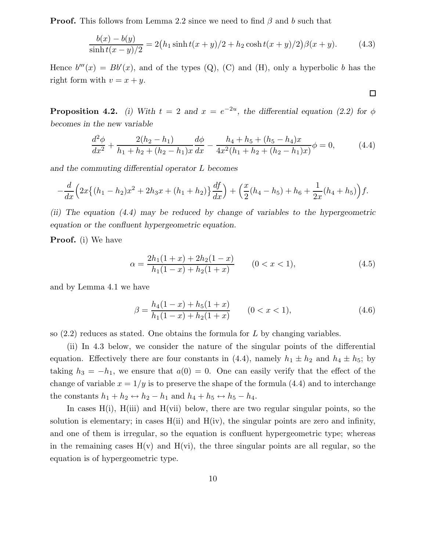**Proof.** This follows from Lemma 2.2 since we need to find  $\beta$  and b such that

$$
\frac{b(x) - b(y)}{\sinh t(x - y)/2} = 2(h_1 \sinh t(x + y)/2 + h_2 \cosh t(x + y)/2)\beta(x + y).
$$
 (4.3)

Hence  $b'''(x) = Bb'(x)$ , and of the types (Q), (C) and (H), only a hyperbolic b has the right form with  $v = x + y$ .

 $\Box$ 

**Proposition 4.2.** (i) With  $t = 2$  and  $x = e^{-2u}$ , the differential equation (2.2) for  $\phi$ becomes in the new variable

$$
\frac{d^2\phi}{dx^2} + \frac{2(h_2 - h_1)}{h_1 + h_2 + (h_2 - h_1)x} \frac{d\phi}{dx} - \frac{h_4 + h_5 + (h_5 - h_4)x}{4x^2(h_1 + h_2 + (h_2 - h_1)x)} \phi = 0,
$$
\n(4.4)

and the commuting differential operator L becomes

$$
-\frac{d}{dx}\Big(2x\big\{(h_1-h_2)x^2+2h_3x+(h_1+h_2)\big\}\frac{df}{dx}\Big)+\Big(\frac{x}{2}(h_4-h_5)+h_6+\frac{1}{2x}(h_4+h_5)\Big)f.
$$

(ii) The equation (4.4) may be reduced by change of variables to the hypergeometric equation or the confluent hypergeometric equation.

Proof. (i) We have

$$
\alpha = \frac{2h_1(1+x) + 2h_2(1-x)}{h_1(1-x) + h_2(1+x)} \qquad (0 < x < 1),\tag{4.5}
$$

and by Lemma 4.1 we have

$$
\beta = \frac{h_4(1-x) + h_5(1+x)}{h_1(1-x) + h_2(1+x)} \qquad (0 < x < 1),\tag{4.6}
$$

so  $(2.2)$  reduces as stated. One obtains the formula for L by changing variables.

(ii) In 4.3 below, we consider the nature of the singular points of the differential equation. Effectively there are four constants in (4.4), namely  $h_1 \pm h_2$  and  $h_4 \pm h_5$ ; by taking  $h_3 = -h_1$ , we ensure that  $a(0) = 0$ . One can easily verify that the effect of the change of variable  $x = 1/y$  is to preserve the shape of the formula (4.4) and to interchange the constants  $h_1 + h_2 \leftrightarrow h_2 - h_1$  and  $h_4 + h_5 \leftrightarrow h_5 - h_4$ .

In cases  $H(i)$ ,  $H(iii)$  and  $H(vii)$  below, there are two regular singular points, so the solution is elementary; in cases  $H(ii)$  and  $H(iv)$ , the singular points are zero and infinity, and one of them is irregular, so the equation is confluent hypergeometric type; whereas in the remaining cases  $H(v)$  and  $H(vi)$ , the three singular points are all regular, so the equation is of hypergeometric type.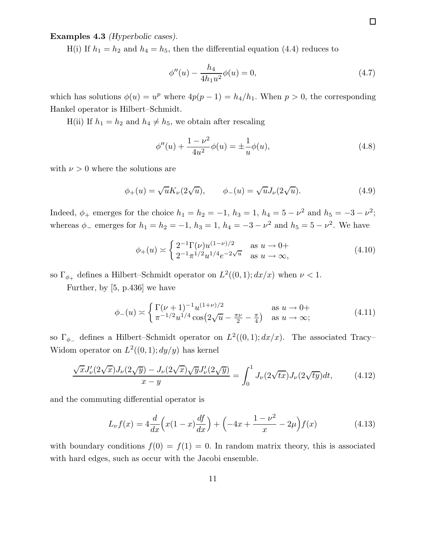Examples 4.3 (Hyperbolic cases).

H(i) If  $h_1 = h_2$  and  $h_4 = h_5$ , then the differential equation (4.4) reduces to

$$
\phi''(u) - \frac{h_4}{4h_1 u^2} \phi(u) = 0,\tag{4.7}
$$

which has solutions  $\phi(u) = u^p$  where  $4p(p-1) = h_4/h_1$ . When  $p > 0$ , the corresponding Hankel operator is Hilbert–Schmidt.

 $H(ii)$  If  $h_1 = h_2$  and  $h_4 \neq h_5$ , we obtain after rescaling

$$
\phi''(u) + \frac{1 - \nu^2}{4u^2} \phi(u) = \pm \frac{1}{u} \phi(u),\tag{4.8}
$$

with  $\nu > 0$  where the solutions are

$$
\phi_{+}(u) = \sqrt{u}K_{\nu}(2\sqrt{u}), \qquad \phi_{-}(u) = \sqrt{u}J_{\nu}(2\sqrt{u}).
$$
\n(4.9)

Indeed,  $\phi_+$  emerges for the choice  $h_1 = h_2 = -1$ ,  $h_3 = 1$ ,  $h_4 = 5 - \nu^2$  and  $h_5 = -3 - \nu^2$ ; whereas  $\phi_-$  emerges for  $h_1 = h_2 = -1$ ,  $h_3 = 1$ ,  $h_4 = -3 - \nu^2$  and  $h_5 = 5 - \nu^2$ . We have

$$
\phi_{+}(u) \asymp \begin{cases} 2^{-1} \Gamma(\nu) u^{(1-\nu)/2} & \text{as } u \to 0+ \\ 2^{-1} \pi^{1/2} u^{1/4} e^{-2\sqrt{u}} & \text{as } u \to \infty, \end{cases}
$$
(4.10)

so  $\Gamma_{\phi_+}$  defines a Hilbert–Schmidt operator on  $L^2((0,1); dx/x)$  when  $\nu < 1$ .

Further, by [5, p.436] we have

$$
\phi_{-}(u) \asymp \begin{cases} \Gamma(\nu+1)^{-1} u^{(1+\nu)/2} & \text{as } u \to 0+\\ \pi^{-1/2} u^{1/4} \cos(2\sqrt{u} - \frac{\pi\nu}{2} - \frac{\pi}{4}) & \text{as } u \to \infty; \end{cases}
$$
(4.11)

so  $\Gamma_{\phi_{-}}$  defines a Hilbert–Schmidt operator on  $L^2((0,1); dx/x)$ . The associated Tracy– Widom operator on  $L^2((0,1); dy/y)$  has kernel

$$
\frac{\sqrt{x}J'_{\nu}(2\sqrt{x})J_{\nu}(2\sqrt{y}) - J_{\nu}(2\sqrt{x})\sqrt{y}J'_{\nu}(2\sqrt{y})}{x - y} = \int_0^1 J_{\nu}(2\sqrt{tx})J_{\nu}(2\sqrt{ty})dt, \tag{4.12}
$$

and the commuting differential operator is

$$
L_{\nu}f(x) = 4\frac{d}{dx}\left(x(1-x)\frac{df}{dx}\right) + \left(-4x + \frac{1-\nu^2}{x} - 2\mu\right)f(x) \tag{4.13}
$$

with boundary conditions  $f(0) = f(1) = 0$ . In random matrix theory, this is associated with hard edges, such as occur with the Jacobi ensemble.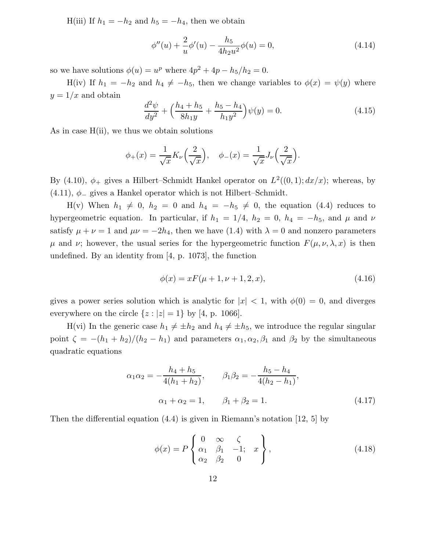H(iii) If  $h_1 = -h_2$  and  $h_5 = -h_4$ , then we obtain

$$
\phi''(u) + \frac{2}{u}\phi'(u) - \frac{h_5}{4h_2u^2}\phi(u) = 0,
$$
\n(4.14)

so we have solutions  $\phi(u) = u^p$  where  $4p^2 + 4p - h_5/h_2 = 0$ .

H(iv) If  $h_1 = -h_2$  and  $h_4 \neq -h_5$ , then we change variables to  $\phi(x) = \psi(y)$  where  $y = 1/x$  and obtain

$$
\frac{d^2\psi}{dy^2} + \left(\frac{h_4 + h_5}{8h_1y} + \frac{h_5 - h_4}{h_1y^2}\right)\psi(y) = 0.
$$
\n(4.15)

As in case  $H(i)$ , we thus we obtain solutions

$$
\phi_+(x) = \frac{1}{\sqrt{x}} K_\nu \left(\frac{2}{\sqrt{x}}\right), \quad \phi_-(x) = \frac{1}{\sqrt{x}} J_\nu \left(\frac{2}{\sqrt{x}}\right).
$$

By (4.10),  $\phi_+$  gives a Hilbert–Schmidt Hankel operator on  $L^2((0,1); dx/x)$ ; whereas, by (4.11),  $\phi$ <sub>-</sub> gives a Hankel operator which is not Hilbert–Schmidt.

H(v) When  $h_1 \neq 0$ ,  $h_2 = 0$  and  $h_4 = -h_5 \neq 0$ , the equation (4.4) reduces to hypergeometric equation. In particular, if  $h_1 = 1/4$ ,  $h_2 = 0$ ,  $h_4 = -h_5$ , and  $\mu$  and  $\nu$ satisfy  $\mu + \nu = 1$  and  $\mu \nu = -2h_4$ , then we have (1.4) with  $\lambda = 0$  and nonzero parameters  $\mu$  and  $\nu$ ; however, the usual series for the hypergeometric function  $F(\mu, \nu, \lambda, x)$  is then undefined. By an identity from [4, p. 1073], the function

$$
\phi(x) = xF(\mu + 1, \nu + 1, 2, x),\tag{4.16}
$$

gives a power series solution which is analytic for  $|x| < 1$ , with  $\phi(0) = 0$ , and diverges everywhere on the circle  $\{z : |z| = 1\}$  by [4, p. 1066].

H(vi) In the generic case  $h_1 \neq \pm h_2$  and  $h_4 \neq \pm h_5$ , we introduce the regular singular point  $\zeta = -(h_1 + h_2)/(h_2 - h_1)$  and parameters  $\alpha_1, \alpha_2, \beta_1$  and  $\beta_2$  by the simultaneous quadratic equations

$$
\alpha_1 \alpha_2 = -\frac{h_4 + h_5}{4(h_1 + h_2)}, \qquad \beta_1 \beta_2 = -\frac{h_5 - h_4}{4(h_2 - h_1)},
$$
  

$$
\alpha_1 + \alpha_2 = 1, \qquad \beta_1 + \beta_2 = 1.
$$
 (4.17)

Then the differential equation  $(4.4)$  is given in Riemann's notation  $[12, 5]$  by

$$
\phi(x) = P\begin{Bmatrix} 0 & \infty & \zeta \\ \alpha_1 & \beta_1 & -1; & x \\ \alpha_2 & \beta_2 & 0 \end{Bmatrix},\tag{4.18}
$$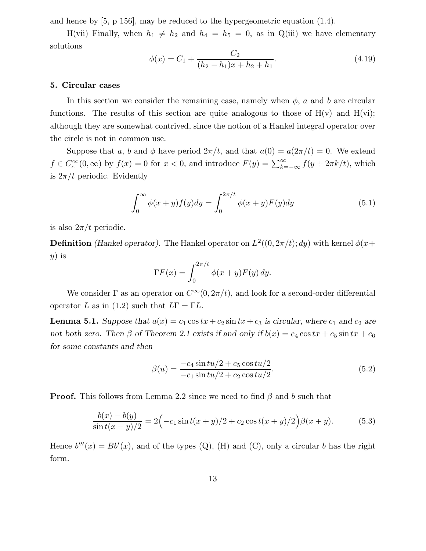and hence by [5, p 156], may be reduced to the hypergeometric equation (1.4).

H(vii) Finally, when  $h_1 \neq h_2$  and  $h_4 = h_5 = 0$ , as in Q(iii) we have elementary solutions

$$
\phi(x) = C_1 + \frac{C_2}{(h_2 - h_1)x + h_2 + h_1}.\tag{4.19}
$$

#### 5. Circular cases

In this section we consider the remaining case, namely when  $\phi$ , a and b are circular functions. The results of this section are quite analogous to those of  $H(v)$  and  $H(vi)$ ; although they are somewhat contrived, since the notion of a Hankel integral operator over the circle is not in common use.

Suppose that a, b and  $\phi$  have period  $2\pi/t$ , and that  $a(0) = a(2\pi/t) = 0$ . We extend  $f \in C_c^{\infty}(0, \infty)$  by  $f(x) = 0$  for  $x < 0$ , and introduce  $F(y) = \sum_{k=-\infty}^{\infty} f(y + 2\pi k/t)$ , which is  $2\pi/t$  periodic. Evidently

$$
\int_0^\infty \phi(x+y)f(y)dy = \int_0^{2\pi/t} \phi(x+y)F(y)dy\tag{5.1}
$$

is also  $2\pi/t$  periodic.

**Definition** *(Hankel operator)*. The Hankel operator on  $L^2((0, 2\pi/t); dy)$  with kernel  $\phi(x+)$  $y)$  is

$$
\Gamma F(x) = \int_0^{2\pi/t} \phi(x+y) F(y) \, dy.
$$

We consider  $\Gamma$  as an operator on  $C^{\infty}(0, 2\pi/t)$ , and look for a second-order differential operator L as in (1.2) such that  $L\Gamma = \Gamma L$ .

**Lemma 5.1.** Suppose that  $a(x) = c_1 \cos tx + c_2 \sin tx + c_3$  is circular, where  $c_1$  and  $c_2$  are not both zero. Then  $\beta$  of Theorem 2.1 exists if and only if  $b(x) = c_4 \cos tx + c_5 \sin tx + c_6$ for some constants and then

$$
\beta(u) = \frac{-c_4 \sin tu/2 + c_5 \cos tu/2}{-c_1 \sin tu/2 + c_2 \cos tu/2}.
$$
\n(5.2)

**Proof.** This follows from Lemma 2.2 since we need to find  $\beta$  and b such that

$$
\frac{b(x) - b(y)}{\sin t(x - y)/2} = 2\left(-c_1 \sin t(x + y)/2 + c_2 \cos t(x + y)/2\right)\beta(x + y). \tag{5.3}
$$

Hence  $b'''(x) = Bb'(x)$ , and of the types (Q), (H) and (C), only a circular b has the right form.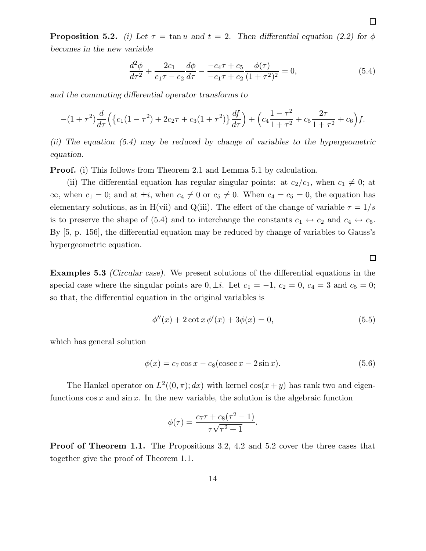**Proposition 5.2.** (i) Let  $\tau = \tan u$  and  $t = 2$ . Then differential equation (2.2) for  $\phi$ becomes in the new variable

$$
\frac{d^2\phi}{d\tau^2} + \frac{2c_1}{c_1\tau - c_2}\frac{d\phi}{d\tau} - \frac{-c_4\tau + c_5}{-c_1\tau + c_2}\frac{\phi(\tau)}{(1+\tau^2)^2} = 0,\tag{5.4}
$$

and the commuting differential operator transforms to

$$
-(1+\tau^2)\frac{d}{d\tau}\Big(\big\{c_1(1-\tau^2)+2c_2\tau+c_3(1+\tau^2)\big\}\frac{df}{d\tau}\Big)+\Big(c_4\frac{1-\tau^2}{1+\tau^2}+c_5\frac{2\tau}{1+\tau^2}+c_6\Big)f.
$$

(ii) The equation (5.4) may be reduced by change of variables to the hypergeometric equation.

**Proof.** (i) This follows from Theorem 2.1 and Lemma 5.1 by calculation.

(ii) The differential equation has regular singular points: at  $c_2/c_1$ , when  $c_1 \neq 0$ ; at  $\infty$ , when  $c_1 = 0$ ; and at  $\pm i$ , when  $c_4 \neq 0$  or  $c_5 \neq 0$ . When  $c_4 = c_5 = 0$ , the equation has elementary solutions, as in H(vii) and Q(iii). The effect of the change of variable  $\tau = 1/s$ is to preserve the shape of (5.4) and to interchange the constants  $c_1 \leftrightarrow c_2$  and  $c_4 \leftrightarrow c_5$ . By [5, p. 156], the differential equation may be reduced by change of variables to Gauss's hypergeometric equation.

Examples 5.3 (Circular case). We present solutions of the differential equations in the special case where the singular points are  $0, \pm i$ . Let  $c_1 = -1$ ,  $c_2 = 0$ ,  $c_4 = 3$  and  $c_5 = 0$ ; so that, the differential equation in the original variables is

$$
\phi''(x) + 2\cot x \, \phi'(x) + 3\phi(x) = 0,\tag{5.5}
$$

which has general solution

$$
\phi(x) = c_7 \cos x - c_8(\csc x - 2\sin x). \tag{5.6}
$$

The Hankel operator on  $L^2((0, \pi); dx)$  with kernel  $\cos(x+y)$  has rank two and eigenfunctions  $\cos x$  and  $\sin x$ . In the new variable, the solution is the algebraic function

$$
\phi(\tau) = \frac{c_7 \tau + c_8(\tau^2 - 1)}{\tau \sqrt{\tau^2 + 1}}.
$$

Proof of Theorem 1.1. The Propositions 3.2, 4.2 and 5.2 cover the three cases that together give the proof of Theorem 1.1.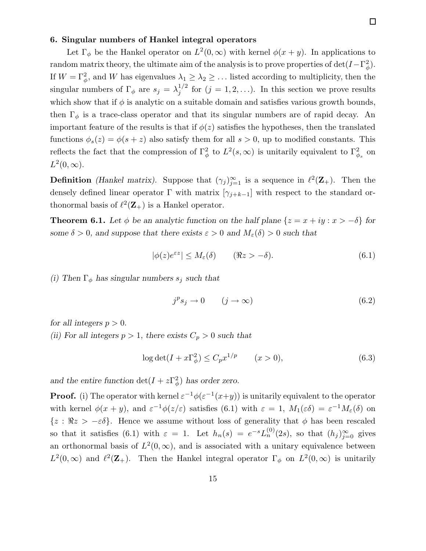### 6. Singular numbers of Hankel integral operators

Let  $\Gamma_{\phi}$  be the Hankel operator on  $L^2(0,\infty)$  with kernel  $\phi(x+y)$ . In applications to random matrix theory, the ultimate aim of the analysis is to prove properties of  $\det(I - \Gamma_{\phi}^2)$ . If  $W = \Gamma_{\phi}^2$ , and W has eigenvalues  $\lambda_1 \geq \lambda_2 \geq \ldots$  listed according to multiplicity, then the singular numbers of  $\Gamma_{\phi}$  are  $s_j = \lambda_j^{1/2}$  $j^{1/2}$  for  $(j = 1, 2, ...)$ . In this section we prove results which show that if  $\phi$  is analytic on a suitable domain and satisfies various growth bounds, then  $\Gamma_{\phi}$  is a trace-class operator and that its singular numbers are of rapid decay. An important feature of the results is that if  $\phi(z)$  satisfies the hypotheses, then the translated functions  $\phi_s(z) = \phi(s+z)$  also satisfy them for all  $s > 0$ , up to modified constants. This reflects the fact that the compression of  $\Gamma^2_{\phi}$  to  $L^2(s,\infty)$  is unitarily equivalent to  $\Gamma^2_{\phi_s}$  on  $L^2(0,\infty).$ 

**Definition** (Hankel matrix). Suppose that  $(\gamma_j)_{j=1}^{\infty}$  is a sequence in  $\ell^2(\mathbf{Z}_+)$ . Then the densely defined linear operator  $\Gamma$  with matrix  $[\gamma_{j+k-1}]$  with respect to the standard orthonormal basis of  $\ell^2(\mathbf{Z}_+)$  is a Hankel operator.

**Theorem 6.1.** Let  $\phi$  be an analytic function on the half plane  $\{z = x + iy : x > -\delta\}$  for some  $\delta > 0$ , and suppose that there exists  $\varepsilon > 0$  and  $M_{\varepsilon}(\delta) > 0$  such that

$$
|\phi(z)e^{\varepsilon z}| \le M_{\varepsilon}(\delta) \qquad (\Re z > -\delta). \tag{6.1}
$$

(i) Then  $\Gamma_{\phi}$  has singular numbers  $s_j$  such that

$$
j^p s_j \to 0 \qquad (j \to \infty) \tag{6.2}
$$

for all integers  $p > 0$ .

(ii) For all integers  $p > 1$ , there exists  $C_p > 0$  such that

$$
\log \det(I + x\Gamma_{\phi}^2) \le C_p x^{1/p} \qquad (x > 0),\tag{6.3}
$$

and the entire function  $\det(I + z\Gamma_{\phi}^2)$  has order zero.

**Proof.** (i) The operator with kernel  $\varepsilon^{-1}\phi(\varepsilon^{-1}(x+y))$  is unitarily equivalent to the operator with kernel  $\phi(x+y)$ , and  $\varepsilon^{-1}\phi(z/\varepsilon)$  satisfies (6.1) with  $\varepsilon = 1$ ,  $M_1(\varepsilon\delta) = \varepsilon^{-1}M_\varepsilon(\delta)$  on  ${z : \Re z > -\varepsilon \delta}$ . Hence we assume without loss of generality that  $\phi$  has been rescaled so that it satisfies (6.1) with  $\varepsilon = 1$ . Let  $h_n(s) = e^{-s} L_n^{(0)}(2s)$ , so that  $(h_j)_{j=0}^{\infty}$  gives an orthonormal basis of  $L^2(0,\infty)$ , and is associated with a unitary equivalence between  $L^2(0,\infty)$  and  $\ell^2(\mathbf{Z}_+)$ . Then the Hankel integral operator  $\Gamma_\phi$  on  $L^2(0,\infty)$  is unitarily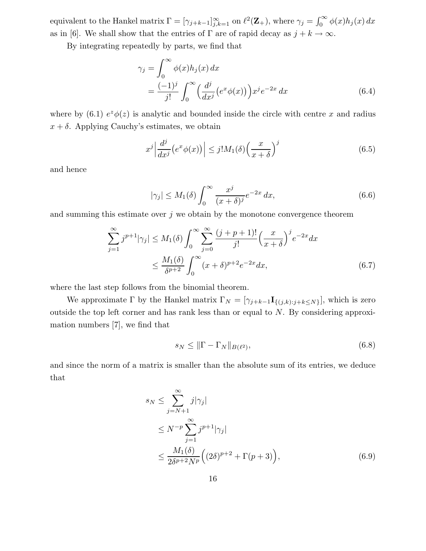equivalent to the Hankel matrix  $\Gamma = [\gamma_{j+k-1}]_{j,k=1}^{\infty}$  on  $\ell^2(\mathbf{Z}_+)$ , where  $\gamma_j = \int_0^{\infty} \phi(x) h_j(x) dx$ as in [6]. We shall show that the entries of  $\Gamma$  are of rapid decay as  $j + k \to \infty$ .

By integrating repeatedly by parts, we find that

$$
\gamma_j = \int_0^\infty \phi(x) h_j(x) dx
$$
  
= 
$$
\frac{(-1)^j}{j!} \int_0^\infty \left(\frac{d^j}{dx^j} \left(e^x \phi(x)\right)\right) x^j e^{-2x} dx
$$
 (6.4)

where by (6.1)  $e^z \phi(z)$  is analytic and bounded inside the circle with centre x and radius  $x + \delta$ . Applying Cauchy's estimates, we obtain

$$
x^{j} \left| \frac{d^{j}}{dx^{j}} \left( e^{x} \phi(x) \right) \right| \leq j! M_{1}(\delta) \left( \frac{x}{x + \delta} \right)^{j}
$$
\n(6.5)

and hence

$$
|\gamma_j| \le M_1(\delta) \int_0^\infty \frac{x^j}{(x+\delta)^j} e^{-2x} dx,
$$
\n(6.6)

and summing this estimate over  $j$  we obtain by the monotone convergence theorem

$$
\sum_{j=1}^{\infty} j^{p+1} |\gamma_j| \le M_1(\delta) \int_0^{\infty} \sum_{j=0}^{\infty} \frac{(j+p+1)!}{j!} \left(\frac{x}{x+\delta}\right)^j e^{-2x} dx
$$
  

$$
\le \frac{M_1(\delta)}{\delta^{p+2}} \int_0^{\infty} (x+\delta)^{p+2} e^{-2x} dx,
$$
 (6.7)

where the last step follows from the binomial theorem.

We approximate  $\Gamma$  by the Hankel matrix  $\Gamma_N = [\gamma_{j+k-1} \mathbf{I}_{\{(j,k):j+k \leq N\}}]$ , which is zero outside the top left corner and has rank less than or equal to N. By considering approximation numbers [7], we find that

$$
s_N \le \|\Gamma - \Gamma_N\|_{B(\ell^2)},\tag{6.8}
$$

and since the norm of a matrix is smaller than the absolute sum of its entries, we deduce that

$$
s_N \le \sum_{j=N+1}^{\infty} j|\gamma_j|
$$
  
\n
$$
\le N^{-p} \sum_{j=1}^{\infty} j^{p+1}|\gamma_j|
$$
  
\n
$$
\le \frac{M_1(\delta)}{2\delta^{p+2}N^p} \Big( (2\delta)^{p+2} + \Gamma(p+3) \Big), \tag{6.9}
$$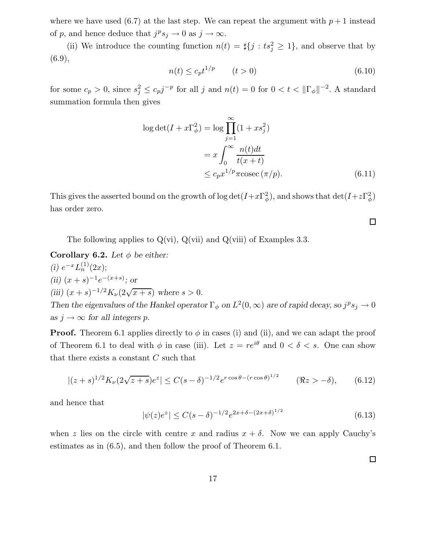where we have used (6.7) at the last step. We can repeat the argument with  $p+1$  instead of p, and hence deduce that  $j^p s_j \to 0$  as  $j \to \infty$ .

(ii) We introduce the counting function  $n(t) = \frac{d}{dt} j : ts_j^2 \ge 1$ , and observe that by (6.9),

$$
n(t) \le c_p t^{1/p} \qquad (t > 0)
$$
\n
$$
(6.10)
$$

for some  $c_p > 0$ , since  $s_j^2 \leq c_p j^{-p}$  for all j and  $n(t) = 0$  for  $0 < t < ||\Gamma_\phi||^{-2}$ . A standard summation formula then gives

$$
\log \det(I + x\Gamma_{\phi}^{2}) = \log \prod_{j=1}^{\infty} (1 + xs_{j}^{2})
$$

$$
= x \int_{0}^{\infty} \frac{n(t)dt}{t(x+t)}
$$

$$
\leq c_{p} x^{1/p} \pi \operatorname{cosec} (\pi/p).
$$
(6.11)

This gives the asserted bound on the growth of  $\log \det(I+x\Gamma^2_{\phi})$ , and shows that  $\det(I+z\Gamma^2_{\phi})$ has order zero.

The following applies to  $Q(vi)$ ,  $Q(vii)$  and  $Q(viii)$  of Examples 3.3.

Corollary 6.2. Let  $\phi$  be either: (i)  $e^{-x}L_n^{(1)}(2x);$ (ii)  $(x + s)^{-1}e^{-(x+s)}$ ; or (iii)  $(x + s)^{-1/2} K_{\nu} (2\sqrt{x + s})$  where  $s > 0$ . Then the eigenvalues of the Hankel operator  $\Gamma_{\phi}$  on  $L^2(0,\infty)$  are of rapid decay, so  $j^p s_j \to 0$ as  $j \to \infty$  for all integers p.

**Proof.** Theorem 6.1 applies directly to  $\phi$  in cases (i) and (ii), and we can adapt the proof of Theorem 6.1 to deal with  $\phi$  in case (iii). Let  $z = re^{i\theta}$  and  $0 < \delta < s$ . One can show that there exists a constant  $C$  such that

$$
|(z+s)^{1/2}K_{\nu}(2\sqrt{z+s})e^z| \leq C(s-\delta)^{-1/2}e^{r\cos\theta - (r\cos\theta)^{1/2}} \qquad (\Re z > -\delta), \qquad (6.12)
$$

and hence that

$$
|\psi(z)e^z| \le C(s-\delta)^{-1/2} e^{2x+\delta - (2x+\delta)^{1/2}} \tag{6.13}
$$

when z lies on the circle with centre x and radius  $x + \delta$ . Now we can apply Cauchy's estimates as in (6.5), and then follow the proof of Theorem 6.1.

 $\Box$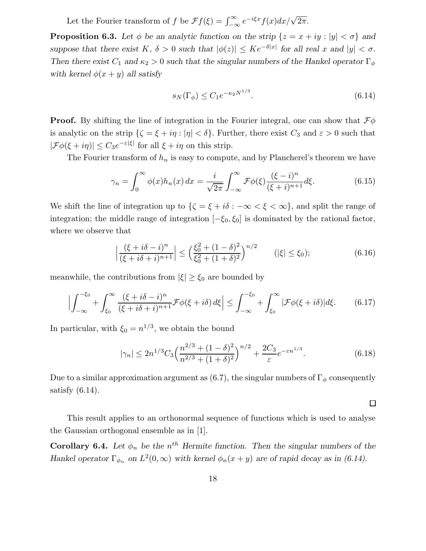Let the Fourier transform of f be  $\mathcal{F}f(\xi) = \int_{-\infty}^{\infty} e^{-i\xi x} f(x) dx / \sqrt{2\pi}$ .

**Proposition 6.3.** Let  $\phi$  be an analytic function on the strip  $\{z = x + iy : |y| < \sigma\}$  and suppose that there exist  $K, \delta > 0$  such that  $|\phi(z)| \leq Ke^{-\delta|x|}$  for all real x and  $|y| < \sigma$ . Then there exist  $C_1$  and  $\kappa_2 > 0$  such that the singular numbers of the Hankel operator  $\Gamma_{\phi}$ with kernel  $\phi(x+y)$  all satisfy

$$
s_N(\Gamma_\phi) \le C_1 e^{-\kappa_2 N^{1/3}}.\tag{6.14}
$$

**Proof.** By shifting the line of integration in the Fourier integral, one can show that  $\mathcal{F}\phi$ is analytic on the strip  $\{\zeta = \xi + i\eta : |\eta| < \delta\}$ . Further, there exist  $C_3$  and  $\varepsilon > 0$  such that  $|\mathcal{F}\phi(\xi+i\eta)| \leq C_3 e^{-\varepsilon|\xi|}$  for all  $\xi+i\eta$  on this strip.

The Fourier transform of  $h_n$  is easy to compute, and by Plancherel's theorem we have

$$
\gamma_n = \int_0^\infty \phi(x) h_n(x) dx = \frac{i}{\sqrt{2\pi}} \int_{-\infty}^\infty \mathcal{F}\phi(\xi) \frac{(\xi - i)^n}{(\xi + i)^{n+1}} d\xi.
$$
 (6.15)

We shift the line of integration up to  $\{\zeta = \xi + i\delta : -\infty < \xi < \infty\}$ , and split the range of integration; the middle range of integration  $[-\xi_0, \xi_0]$  is dominated by the rational factor, where we observe that

$$
\left| \frac{(\xi + i\delta - i)^n}{(\xi + i\delta + i)^{n+1}} \right| \le \left( \frac{\xi_0^2 + (1 - \delta)^2}{\xi_0^2 + (1 + \delta)^2} \right)^{n/2} \qquad (|\xi| \le \xi_0); \tag{6.16}
$$

meanwhile, the contributions from  $|\xi| \geq \xi_0$  are bounded by

$$
\left| \int_{-\infty}^{-\xi_0} + \int_{\xi_0}^{\infty} \frac{(\xi + i\delta - i)^n}{(\xi + i\delta + i)^{n+1}} \mathcal{F}\phi(\xi + i\delta) d\xi \right| \le \int_{-\infty}^{-\xi_0} + \int_{\xi_0}^{\infty} |\mathcal{F}\phi(\xi + i\delta)| d\xi. \tag{6.17}
$$

In particular, with  $\xi_0 = n^{1/3}$ , we obtain the bound

$$
|\gamma_n| \le 2n^{1/3} C_3 \left(\frac{n^{2/3} + (1 - \delta)^2}{n^{2/3} + (1 + \delta)^2}\right)^{n/2} + \frac{2C_3}{\varepsilon} e^{-\varepsilon n^{1/3}}.
$$
 (6.18)

 $\Box$ 

Due to a similar approximation argument as (6.7), the singular numbers of  $\Gamma_{\phi}$  consequently satisfy (6.14).

This result applies to an orthonormal sequence of functions which is used to analyse the Gaussian orthogonal ensemble as in [1].

**Corollary 6.4.** Let  $\phi_n$  be the  $n^{th}$  Hermite function. Then the singular numbers of the Hankel operator  $\Gamma_{\phi_n}$  on  $L^2(0,\infty)$  with kernel  $\phi_n(x+y)$  are of rapid decay as in (6.14).